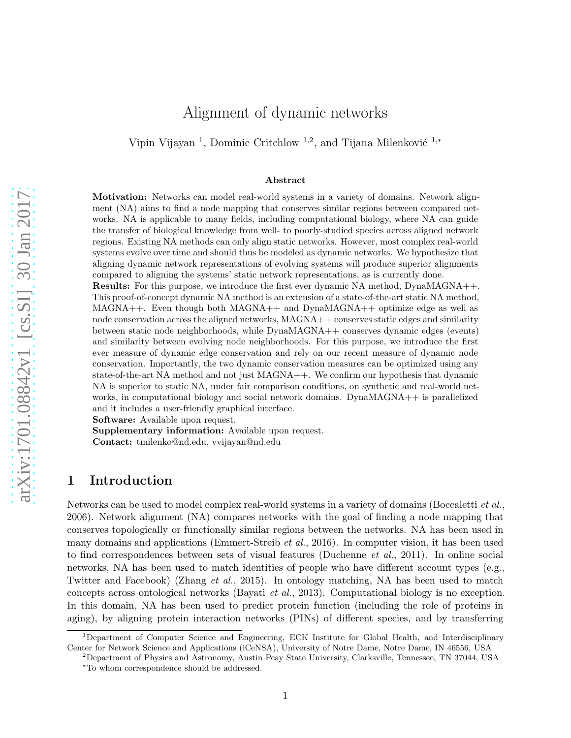# Alignment of dynamic networks

Vipin Vijayan<sup>1</sup>, Dominic Critchlow<sup>1,2</sup>, and Tijana Milenković<sup>1,\*</sup>

#### Abstract

Motivation: Networks can model real-world systems in a variety of domains. Network alignment (NA) aims to find a node mapping that conserves similar regions between compared networks. NA is applicable to many fields, including computational biology, where NA can guide the transfer of biological knowledge from well- to poorly-studied species across aligned network regions. Existing NA methods can only align static networks. However, most complex real-world systems evolve over time and should thus be modeled as dynamic networks. We hypothesize that aligning dynamic network representations of evolving systems will produce superior alignments compared to aligning the systems' static network representations, as is currently done.

Results: For this purpose, we introduce the first ever dynamic NA method, DynaMAGNA++. This proof-of-concept dynamic NA method is an extension of a state-of-the-art static NA method, MAGNA++. Even though both MAGNA++ and DynaMAGNA++ optimize edge as well as node conservation across the aligned networks,  $MAGNA++$  conserves static edges and similarity between static node neighborhoods, while DynaMAGNA++ conserves dynamic edges (events) and similarity between evolving node neighborhoods. For this purpose, we introduce the first ever measure of dynamic edge conservation and rely on our recent measure of dynamic node conservation. Importantly, the two dynamic conservation measures can be optimized using any state-of-the-art NA method and not just MAGNA++. We confirm our hypothesis that dynamic NA is superior to static NA, under fair comparison conditions, on synthetic and real-world networks, in computational biology and social network domains. DynaMAGNA++ is parallelized and it includes a user-friendly graphical interface.

Software: Available upon request.

Supplementary information: Available upon request.

Contact: [tmilenko@nd.edu,](tmilenko@nd.edu)<vvijayan@nd.edu>

## <span id="page-0-0"></span>1 Introduction

Networks can be used to model complex real-world systems in a variety of domains [\(Boccaletti](#page-18-0) *et al.*, [2006](#page-18-0)). Network alignment (NA) compares networks with the goal of finding a node mapping that conserves topologically or functionally similar regions between the networks. NA has been used in many domains and applications [\(Emmert-Streib](#page-18-1)  $et al., 2016$ ). In computer vision, it has been used to find correspondences between sets of visual features [\(Duchenne](#page-18-2) et al., [2011\)](#page-18-2). In online social networks, NA has been used to match identities of people who have different account types (e.g., Twitter and Facebook) [\(Zhang](#page-19-0) et al., [2015](#page-19-0)). In ontology matching, NA has been used to match concepts across ontological networks [\(Bayati](#page-18-3) et al., [2013\)](#page-18-3). Computational biology is no exception. In this domain, NA has been used to predict protein function (including the role of proteins in aging), by aligning protein interaction networks (PINs) of different species, and by transferring

<sup>1</sup>Department of Computer Science and Engineering, ECK Institute for Global Health, and Interdisciplinary Center for Network Science and Applications (iCeNSA), University of Notre Dame, Notre Dame, IN 46556, USA

<sup>2</sup>Department of Physics and Astronomy, Austin Peay State University, Clarksville, Tennessee, TN 37044, USA <sup>∗</sup>To whom correspondence should be addressed.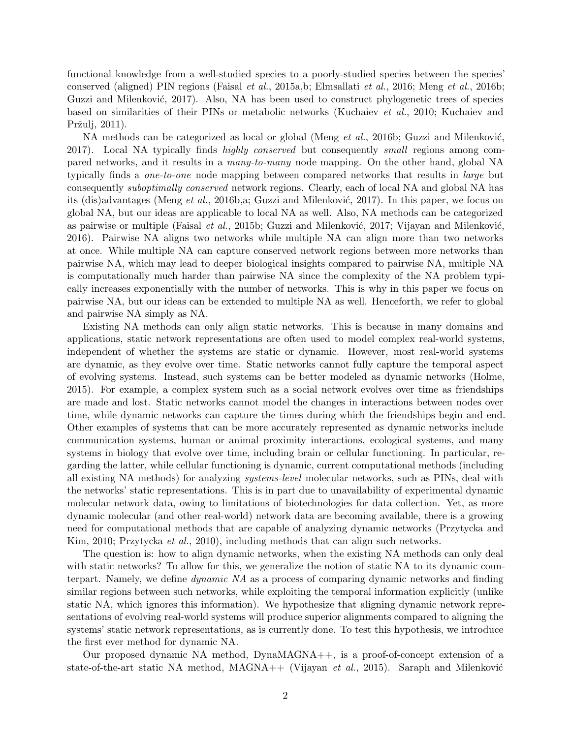functional knowledge from a well-studied species to a poorly-studied species between the species' conserved (aligned) PIN regions [\(Faisal](#page-18-4) et al., [2015a](#page-18-4)[,b](#page-18-5); [Elmsallati](#page-18-6) et al., [2016](#page-18-6); [Meng](#page-19-1) et al., [2016b](#page-19-1); Guzzi and Milenković, [2017\)](#page-18-7). Also, NA has been used to construct phylogenetic trees of species based [on similarities of their PINs or metabolic networks](#page-18-9) [\(Kuchaiev](#page-18-8) et al., [2010](#page-18-8); Kuchaiev and Pržulj, [2011](#page-18-9)).

NA methods can be categorized as local or global [\(Meng](#page-19-1) *et al.*, [2016b](#page-19-1); Guzzi and Milenković, [2017](#page-18-7)). Local NA typically finds highly conserved but consequently small regions among compared networks, and it results in a many-to-many node mapping. On the other hand, global NA typically finds a one-to-one node mapping between compared networks that results in large but consequently suboptimally conserved network regions. Clearly, each of local NA and global NA has its (dis)advantages [\(Meng](#page-19-1) *et al.*, [2016b](#page-19-1)[,a;](#page-18-10) Guzzi and Milenković, [2017](#page-18-7)). In this paper, we focus on global NA, but our ideas are applicable to local NA as well. Also, NA methods can be categorized as pairwise or multiple [\(Faisal](#page-18-5) *et al.*, [2015b](#page-18-5); Guzzi and Milenković, 2017; Vijayan and Milenković, [2016](#page-19-2)). Pairwise NA aligns two networks while multiple NA can align more than two networks at once. While multiple NA can capture conserved network regions between more networks than pairwise NA, which may lead to deeper biological insights compared to pairwise NA, multiple NA is computationally much harder than pairwise NA since the complexity of the NA problem typically increases exponentially with the number of networks. This is why in this paper we focus on pairwise NA, but our ideas can be extended to multiple NA as well. Henceforth, we refer to global and pairwise NA simply as NA.

Existing NA methods can only align static networks. This is because in many domains and applications, static network representations are often used to model complex real-world systems, independent of whether the systems are static or dynamic. However, most real-world systems are dynamic, as they evolve over time. Static networks cannot fully capture the temporal aspect of evolving systems. Instead, such systems can be better modeled as dynamic networks [\(Holme](#page-18-11), [2015](#page-18-11)). For example, a complex system such as a social network evolves over time as friendships are made and lost. Static networks cannot model the changes in interactions between nodes over time, while dynamic networks can capture the times during which the friendships begin and end. Other examples of systems that can be more accurately represented as dynamic networks include communication systems, human or animal proximity interactions, ecological systems, and many systems in biology that evolve over time, including brain or cellular functioning. In particular, regarding the latter, while cellular functioning is dynamic, current computational methods (including all existing NA methods) for analyzing systems-level molecular networks, such as PINs, deal with the networks' static representations. This is in part due to unavailability of experimental dynamic molecular network data, owing to limitations of biotechnologies for data collection. Yet, as more dynamic molecular (and other real-world) network data are becoming available, there is a growing nee[d for computational methods that are capable of analyzing dynamic networks \(](#page-19-3)Przytycka and Kim, [2010;](#page-19-3) [Przytycka](#page-19-4) et al., [2010](#page-19-4)), including methods that can align such networks.

The question is: how to align dynamic networks, when the existing NA methods can only deal with static networks? To allow for this, we generalize the notion of static NA to its dynamic counterpart. Namely, we define dynamic NA as a process of comparing dynamic networks and finding similar regions between such networks, while exploiting the temporal information explicitly (unlike static NA, which ignores this information). We hypothesize that aligning dynamic network representations of evolving real-world systems will produce superior alignments compared to aligning the systems' static network representations, as is currently done. To test this hypothesis, we introduce the first ever method for dynamic NA.

Our proposed dynamic NA method, DynaMAGNA++, is a proof-of-concept extension of a state-of-the-art static NA method,  $MAGNA++$  [\(Vijayan](#page-19-5) et al., [2015](#page-19-5)). Saraph and Milenković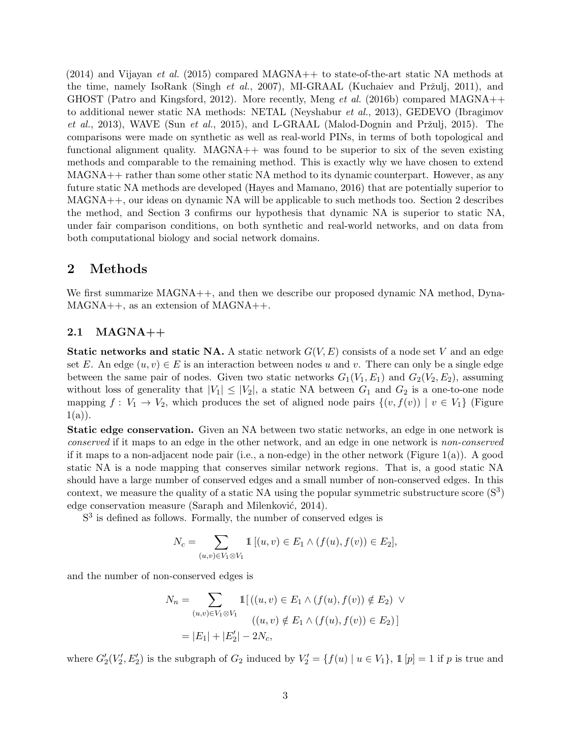$(2014)$  $(2014)$  and [Vijayan](#page-19-5) *et al.*  $(2015)$  $(2015)$  compared MAGNA++ to state-of-the-art static NA methods at the time, namely IsoRank [\(Singh](#page-19-7) *et al.*, [2007\)](#page-19-7), MI-GRAAL (Kuchaiev and Pržulj, [2011](#page-18-9)), and GHOST [\(Patro and Kingsford](#page-19-8), [2012\)](#page-19-8). More recently, [Meng](#page-19-1) *et al.* [\(2016b\)](#page-19-1) compared MAGNA++ to a[dditional newer static NA methods: NETAL](#page-18-12) [\(Neyshabur](#page-19-9) et al., [2013\)](#page-19-9), GEDEVO (Ibragimov et al., [2013\)](#page-18-12), WAVE (Sun [et al.](#page-19-10), [2015](#page-19-10)), and L-GRAAL (Malod-Dognin and Pržulj, [2015\)](#page-18-13). The comparisons were made on synthetic as well as real-world PINs, in terms of both topological and functional alignment quality.  $MAGNA++$  was found to be superior to six of the seven existing methods and comparable to the remaining method. This is exactly why we have chosen to extend MAGNA++ rather than some other static NA method to its dynamic counterpart. However, as any future static NA methods are developed [\(Hayes and Mamano](#page-18-14), [2016\)](#page-18-14) that are potentially superior to MAGNA++, our ideas on dynamic NA will be applicable to such methods too. Section [2](#page-2-0) describes the method, and Section [3](#page-9-0) confirms our hypothesis that dynamic NA is superior to static NA, under fair comparison conditions, on both synthetic and real-world networks, and on data from both computational biology and social network domains.

### <span id="page-2-0"></span>2 Methods

We first summarize MAGNA++, and then we describe our proposed dynamic NA method, Dyna-MAGNA++, as an extension of MAGNA++.

#### <span id="page-2-1"></span>2.1 MAGNA++

**Static networks and static NA.** A static network  $G(V, E)$  consists of a node set V and an edge set E. An edge  $(u, v) \in E$  is an interaction between nodes u and v. There can only be a single edge between the same pair of nodes. Given two static networks  $G_1(V_1, E_1)$  and  $G_2(V_2, E_2)$ , assuming without loss of generality that  $|V_1| \leq |V_2|$ , a static NA between  $G_1$  and  $G_2$  is a one-to-one node mapping  $f: V_1 \to V_2$ , which produces the set of aligned node pairs  $\{(v, f(v)) \mid v \in V_1\}$  (Figure  $1(a)$  $1(a)$ ).

Static edge conservation. Given an NA between two static networks, an edge in one network is conserved if it maps to an edge in the other network, and an edge in one network is non-conserved if it maps to a non-adjacent node pair (i.e., a non-edge) in the other network (Figure  $1(a)$ ). A good static NA is a node mapping that conserves similar network regions. That is, a good static NA should have a large number of conserved edges and a small number of non-conserved edges. In this context, we measure the quality of a static NA using the popular symmetric substructure score  $(S^3)$ edge conservation measure (Saraph and Milenković, [2014](#page-19-6)).

S<sup>3</sup> is defined as follows. Formally, the number of conserved edges is

$$
N_c = \sum_{(u,v)\in V_1\otimes V_1} \mathbb{1}\left[ (u,v)\in E_1 \wedge (f(u),f(v))\in E_2 \right],
$$

and the number of non-conserved edges is

$$
N_n = \sum_{(u,v)\in V_1 \otimes V_1} \mathbb{1}[(u,v) \in E_1 \land (f(u), f(v)) \notin E_2) \lor
$$
  

$$
((u,v) \notin E_1 \land (f(u), f(v)) \in E_2)]
$$
  

$$
= |E_1| + |E'_2| - 2N_c,
$$

where  $G'_{2}(V'_{2}, E'_{2})$  is the subgraph of  $G_{2}$  induced by  $V'_{2} = \{f(u) | u \in V_{1}\}, \mathbb{1}[p] = 1$  if p is true and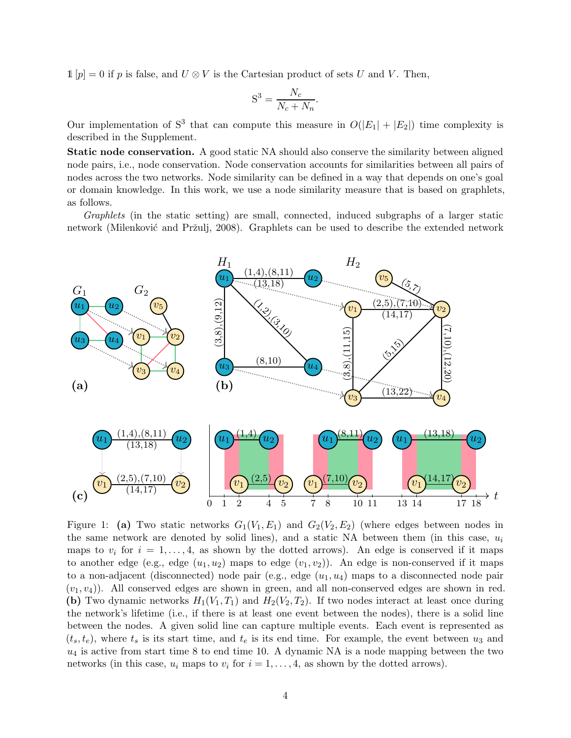$1[p] = 0$  if p is false, and  $U \otimes V$  is the Cartesian product of sets U and V. Then,

$$
S^3 = \frac{N_c}{N_c + N_n}.
$$

Our implementation of  $S^3$  that can compute this measure in  $O(|E_1| + |E_2|)$  time complexity is described in the Supplement.

Static node conservation. A good static NA should also conserve the similarity between aligned node pairs, i.e., node conservation. Node conservation accounts for similarities between all pairs of nodes across the two networks. Node similarity can be defined in a way that depends on one's goal or domain knowledge. In this work, we use a node similarity measure that is based on graphlets, as follows.

Graphlets (in the static setting) are small, connected, induced subgraphs of a larger static network (Milenković and Pržulj, [2008](#page-19-11)). Graphlets can be used to describe the extended network

<span id="page-3-0"></span>

Figure 1: (a) Two static networks  $G_1(V_1, E_1)$  and  $G_2(V_2, E_2)$  (where edges between nodes in the same network are denoted by solid lines), and a static NA between them (in this case,  $u_i$ maps to  $v_i$  for  $i = 1, \ldots, 4$ , as shown by the dotted arrows). An edge is conserved if it maps to another edge (e.g., edge  $(u_1, u_2)$ ) maps to edge  $(v_1, v_2)$ ). An edge is non-conserved if it maps to a non-adjacent (disconnected) node pair (e.g., edge  $(u_1, u_4)$  maps to a disconnected node pair  $(v_1, v_4)$ ). All conserved edges are shown in green, and all non-conserved edges are shown in red. (b) Two dynamic networks  $H_1(V_1, T_1)$  and  $H_2(V_2, T_2)$ . If two nodes interact at least once during the network's lifetime (i.e., if there is at least one event between the nodes), there is a solid line between the nodes. A given solid line can capture multiple events. Each event is represented as  $(t_s, t_e)$ , where  $t_s$  is its start time, and  $t_e$  is its end time. For example, the event between  $u_3$  and  $u_4$  is active from start time 8 to end time 10. A dynamic NA is a node mapping between the two networks (in this case,  $u_i$  maps to  $v_i$  for  $i = 1, ..., 4$ , as shown by the dotted arrows).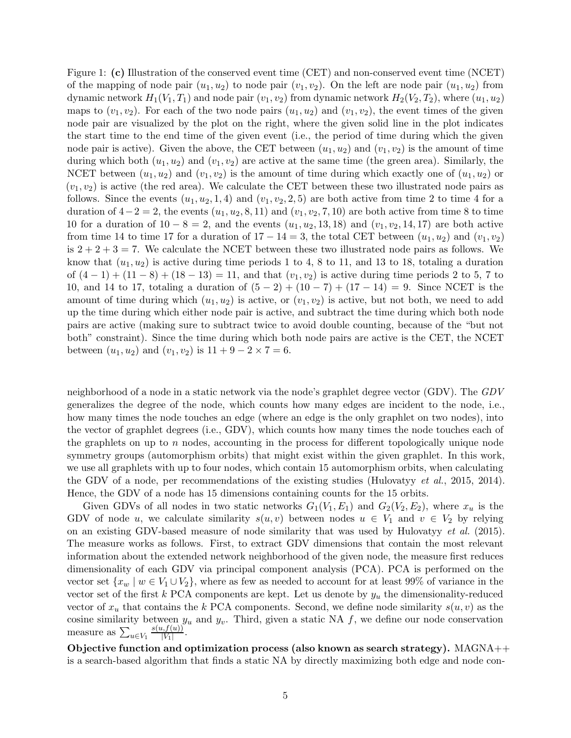Figure 1: (c) Illustration of the conserved event time (CET) and non-conserved event time (NCET) of the mapping of node pair  $(u_1, u_2)$  to node pair  $(v_1, v_2)$ . On the left are node pair  $(u_1, u_2)$  from dynamic network  $H_1(V_1, T_1)$  and node pair  $(v_1, v_2)$  from dynamic network  $H_2(V_2, T_2)$ , where  $(u_1, u_2)$ maps to  $(v_1, v_2)$ . For each of the two node pairs  $(u_1, u_2)$  and  $(v_1, v_2)$ , the event times of the given node pair are visualized by the plot on the right, where the given solid line in the plot indicates the start time to the end time of the given event (i.e., the period of time during which the given node pair is active). Given the above, the CET between  $(u_1, u_2)$  and  $(v_1, v_2)$  is the amount of time during which both  $(u_1, u_2)$  and  $(v_1, v_2)$  are active at the same time (the green area). Similarly, the NCET between  $(u_1, u_2)$  and  $(v_1, v_2)$  is the amount of time during which exactly one of  $(u_1, u_2)$  or  $(v_1, v_2)$  is active (the red area). We calculate the CET between these two illustrated node pairs as follows. Since the events  $(u_1, u_2, 1, 4)$  and  $(v_1, v_2, 2, 5)$  are both active from time 2 to time 4 for a duration of  $4-2=2$ , the events  $(u_1, u_2, 8, 11)$  and  $(v_1, v_2, 7, 10)$  are both active from time 8 to time 10 for a duration of  $10 - 8 = 2$ , and the events  $(u_1, u_2, 13, 18)$  and  $(v_1, v_2, 14, 17)$  are both active from time 14 to time 17 for a duration of  $17 - 14 = 3$ , the total CET between  $(u_1, u_2)$  and  $(v_1, v_2)$ is  $2 + 2 + 3 = 7$ . We calculate the NCET between these two illustrated node pairs as follows. We know that  $(u_1, u_2)$  is active during time periods 1 to 4, 8 to 11, and 13 to 18, totaling a duration of  $(4-1) + (11-8) + (18-13) = 11$ , and that  $(v_1, v_2)$  is active during time periods 2 to 5, 7 to 10, and 14 to 17, totaling a duration of  $(5 - 2) + (10 - 7) + (17 - 14) = 9$ . Since NCET is the amount of time during which  $(u_1, u_2)$  is active, or  $(v_1, v_2)$  is active, but not both, we need to add up the time during which either node pair is active, and subtract the time during which both node pairs are active (making sure to subtract twice to avoid double counting, because of the "but not both" constraint). Since the time during which both node pairs are active is the CET, the NCET between  $(u_1, u_2)$  and  $(v_1, v_2)$  is  $11 + 9 - 2 \times 7 = 6$ .

neighborhood of a node in a static network via the node's graphlet degree vector (GDV). The GDV generalizes the degree of the node, which counts how many edges are incident to the node, i.e., how many times the node touches an edge (where an edge is the only graphlet on two nodes), into the vector of graphlet degrees (i.e., GDV), which counts how many times the node touches each of the graphlets on up to  $n$  nodes, accounting in the process for different topologically unique node symmetry groups (automorphism orbits) that might exist within the given graphlet. In this work, we use all graphlets with up to four nodes, which contain 15 automorphism orbits, when calculating the GDV of a node, per recommendations of the existing studies [\(Hulovatyy](#page-18-15) *et al.*, [2015](#page-18-15), [2014\)](#page-18-16). Hence, the GDV of a node has 15 dimensions containing counts for the 15 orbits.

Given GDVs of all nodes in two static networks  $G_1(V_1, E_1)$  and  $G_2(V_2, E_2)$ , where  $x_u$  is the GDV of node u, we calculate similarity  $s(u, v)$  between nodes  $u \in V_1$  and  $v \in V_2$  by relying on an existing GDV-based measure of node similarity that was used by [Hulovatyy](#page-18-15) et al. [\(2015\)](#page-18-15). The measure works as follows. First, to extract GDV dimensions that contain the most relevant information about the extended network neighborhood of the given node, the measure first reduces dimensionality of each GDV via principal component analysis (PCA). PCA is performed on the vector set  $\{x_w \mid w \in V_1 \cup V_2\}$ , where as few as needed to account for at least 99% of variance in the vector set of the first k PCA components are kept. Let us denote by  $y_u$  the dimensionality-reduced vector of  $x_u$  that contains the k PCA components. Second, we define node similarity  $s(u, v)$  as the cosine similarity between  $y_u$  and  $y_v$ . Third, given a static NA f, we define our node conservation measure as  $\sum_{u\in V_1}$  $s(u,f(u))$  $|V_1|$ .

Objective function and optimization process (also known as search strategy).  $MAGNA++$ is a search-based algorithm that finds a static NA by directly maximizing both edge and node con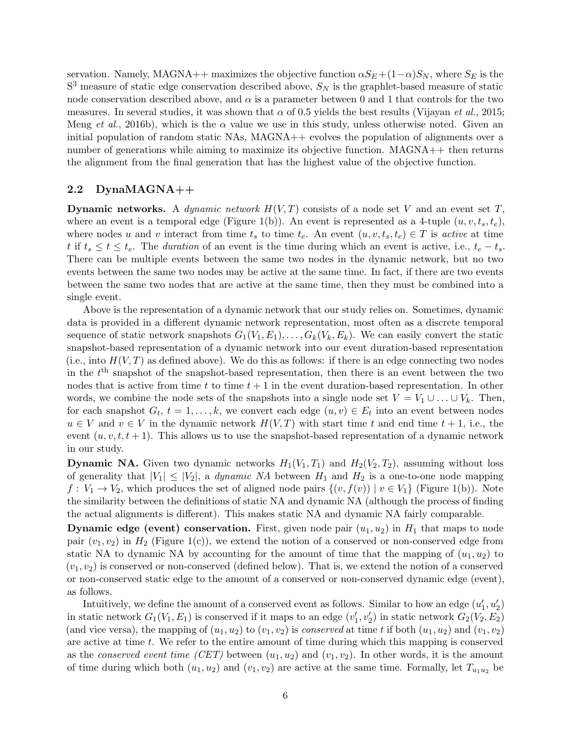servation. Namely, MAGNA++ maximizes the objective function  $\alpha S_E + (1-\alpha)S_N$ , where  $S_E$  is the  $S<sup>3</sup>$  measure of static edge conservation described above,  $S<sub>N</sub>$  is the graphlet-based measure of static node conservation described above, and  $\alpha$  is a parameter between 0 and 1 that controls for the two measures. In several studies, it was shown that  $\alpha$  of 0.5 yields the best results [\(Vijayan](#page-19-5) *et al.*, [2015](#page-19-5); [Meng](#page-19-1) et al., [2016b\)](#page-19-1), which is the  $\alpha$  value we use in this study, unless otherwise noted. Given an initial population of random static NAs, MAGNA++ evolves the population of alignments over a number of generations while aiming to maximize its objective function.  $MAGNA++$  then returns the alignment from the final generation that has the highest value of the objective function.

#### <span id="page-5-0"></span>2.2 DynaMAGNA++

**Dynamic networks.** A *dynamic network*  $H(V,T)$  consists of a node set V and an event set T, where an event is a temporal edge (Figure [1\(](#page-3-0)b)). An event is represented as a 4-tuple  $(u, v, t_s, t_e)$ , where nodes u and v interact from time  $t_s$  to time  $t_e$ . An event  $(u, v, t_s, t_e) \in T$  is active at time t if  $t_s \le t \le t_e$ . The duration of an event is the time during which an event is active, i.e.,  $t_e - t_s$ . There can be multiple events between the same two nodes in the dynamic network, but no two events between the same two nodes may be active at the same time. In fact, if there are two events between the same two nodes that are active at the same time, then they must be combined into a single event.

Above is the representation of a dynamic network that our study relies on. Sometimes, dynamic data is provided in a different dynamic network representation, most often as a discrete temporal sequence of static network snapshots  $G_1(V_1, E_1), \ldots, G_k(V_k, E_k)$ . We can easily convert the static snapshot-based representation of a dynamic network into our event duration-based representation (i.e., into  $H(V, T)$  as defined above). We do this as follows: if there is an edge connecting two nodes in the  $t<sup>th</sup>$  snapshot of the snapshot-based representation, then there is an event between the two nodes that is active from time t to time  $t + 1$  in the event duration-based representation. In other words, we combine the node sets of the snapshots into a single node set  $V = V_1 \cup \ldots \cup V_k$ . Then, for each snapshot  $G_t$ ,  $t = 1, \ldots, k$ , we convert each edge  $(u, v) \in E_t$  into an event between nodes  $u \in V$  and  $v \in V$  in the dynamic network  $H(V,T)$  with start time t and end time  $t + 1$ , i.e., the event  $(u, v, t, t + 1)$ . This allows us to use the snapshot-based representation of a dynamic network in our study.

**Dynamic NA.** Given two dynamic networks  $H_1(V_1, T_1)$  and  $H_2(V_2, T_2)$ , assuming without loss of generality that  $|V_1| \leq |V_2|$ , a *dynamic NA* between  $H_1$  and  $H_2$  is a one-to-one node mapping  $f: V_1 \to V_2$ , which produces the set of aligned node pairs  $\{(v, f(v)) \mid v \in V_1\}$  (Figure [1\(](#page-3-0)b)). Note the similarity between the definitions of static NA and dynamic NA (although the process of finding the actual alignments is different). This makes static NA and dynamic NA fairly comparable.

**Dynamic edge (event) conservation.** First, given node pair  $(u_1, u_2)$  in  $H_1$  that maps to node pair  $(v_1, v_2)$  in  $H_2$  (Figure [1\(](#page-3-0)c)), we extend the notion of a conserved or non-conserved edge from static NA to dynamic NA by accounting for the amount of time that the mapping of  $(u_1, u_2)$  to  $(v_1, v_2)$  is conserved or non-conserved (defined below). That is, we extend the notion of a conserved or non-conserved static edge to the amount of a conserved or non-conserved dynamic edge (event), as follows.

Intuitively, we define the amount of a conserved event as follows. Similar to how an edge  $(u'_1, u'_2)$ in static network  $G_1(V_1, E_1)$  is conserved if it maps to an edge  $(v'_1, v'_2)$  in static network  $G_2(V_2, E_2)$ (and vice versa), the mapping of  $(u_1, u_2)$  to  $(v_1, v_2)$  is *conserved* at time t if both  $(u_1, u_2)$  and  $(v_1, v_2)$ are active at time  $t$ . We refer to the entire amount of time during which this mapping is conserved as the *conserved event time (CET)* between  $(u_1, u_2)$  and  $(v_1, v_2)$ . In other words, it is the amount of time during which both  $(u_1, u_2)$  and  $(v_1, v_2)$  are active at the same time. Formally, let  $T_{u_1u_2}$  be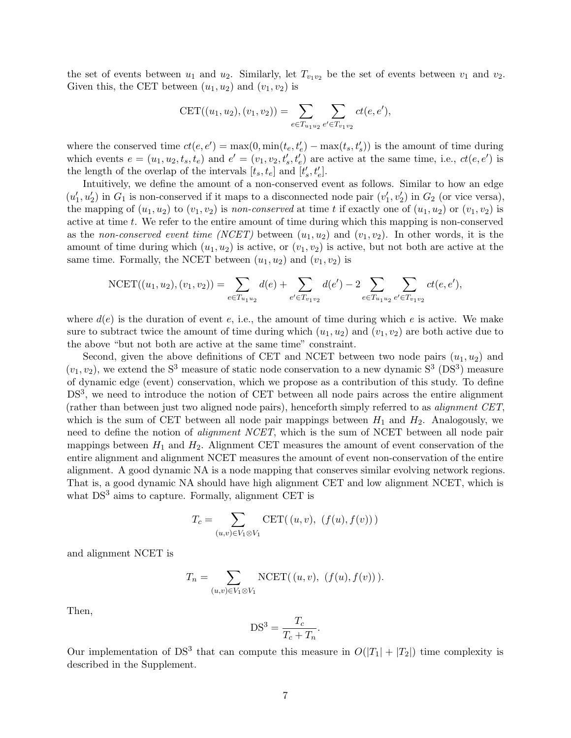the set of events between  $u_1$  and  $u_2$ . Similarly, let  $T_{v_1v_2}$  be the set of events between  $v_1$  and  $v_2$ . Given this, the CET between  $(u_1, u_2)$  and  $(v_1, v_2)$  is

$$
CET((u_1, u_2), (v_1, v_2)) = \sum_{e \in T_{u_1u_2}} \sum_{e' \in T_{v_1v_2}} ct(e, e'),
$$

where the conserved time  $ct(e, e') = \max(0, \min(t_e, t'_e) - \max(t_s, t'_s))$  is the amount of time during which events  $e = (u_1, u_2, t_s, t_e)$  and  $e' = (v_1, v_2, t'_s, t'_e)$  are active at the same time, i.e.,  $ct(e, e')$  is the length of the overlap of the intervals  $[t_s, t_e]$  and  $[t'_s, t'_e]$ .

Intuitively, we define the amount of a non-conserved event as follows. Similar to how an edge  $(u'_1, u'_2)$  in  $G_1$  is non-conserved if it maps to a disconnected node pair  $(v'_1, v'_2)$  in  $G_2$  (or vice versa), the mapping of  $(u_1, u_2)$  to  $(v_1, v_2)$  is non-conserved at time t if exactly one of  $(u_1, u_2)$  or  $(v_1, v_2)$  is active at time  $t$ . We refer to the entire amount of time during which this mapping is non-conserved as the non-conserved event time (NCET) between  $(u_1, u_2)$  and  $(v_1, v_2)$ . In other words, it is the amount of time during which  $(u_1, u_2)$  is active, or  $(v_1, v_2)$  is active, but not both are active at the same time. Formally, the NCET between  $(u_1, u_2)$  and  $(v_1, v_2)$  is

$$
NCET((u_1, u_2), (v_1, v_2)) = \sum_{e \in T_{u_1 u_2}} d(e) + \sum_{e' \in T_{v_1 v_2}} d(e') - 2 \sum_{e \in T_{u_1 u_2}} \sum_{e' \in T_{v_1 v_2}} ct(e, e'),
$$

where  $d(e)$  is the duration of event e, i.e., the amount of time during which e is active. We make sure to subtract twice the amount of time during which  $(u_1, u_2)$  and  $(v_1, v_2)$  are both active due to the above "but not both are active at the same time" constraint.

Second, given the above definitions of CET and NCET between two node pairs  $(u_1, u_2)$  and  $(v_1, v_2)$ , we extend the S<sup>3</sup> measure of static node conservation to a new dynamic S<sup>3</sup> (DS<sup>3</sup>) measure of dynamic edge (event) conservation, which we propose as a contribution of this study. To define DS<sup>3</sup>, we need to introduce the notion of CET between all node pairs across the entire alignment (rather than between just two aligned node pairs), henceforth simply referred to as *alignment CET*, which is the sum of CET between all node pair mappings between  $H_1$  and  $H_2$ . Analogously, we need to define the notion of *alignment NCET*, which is the sum of NCET between all node pair mappings between  $H_1$  and  $H_2$ . Alignment CET measures the amount of event conservation of the entire alignment and alignment NCET measures the amount of event non-conservation of the entire alignment. A good dynamic NA is a node mapping that conserves similar evolving network regions. That is, a good dynamic NA should have high alignment CET and low alignment NCET, which is what  $DS<sup>3</sup>$  aims to capture. Formally, alignment CET is

$$
T_c = \sum_{(u,v)\in V_1\otimes V_1} \text{CET}((u,v), (f(u), f(v)))
$$

and alignment NCET is

$$
T_n = \sum_{(u,v)\in V_1\otimes V_1} \text{NCEPT}((u,v), (f(u), f(v))).
$$

Then,

$$
DS^3 = \frac{T_c}{T_c + T_n}.
$$

Our implementation of DS<sup>3</sup> that can compute this measure in  $O(|T_1| + |T_2|)$  time complexity is described in the Supplement.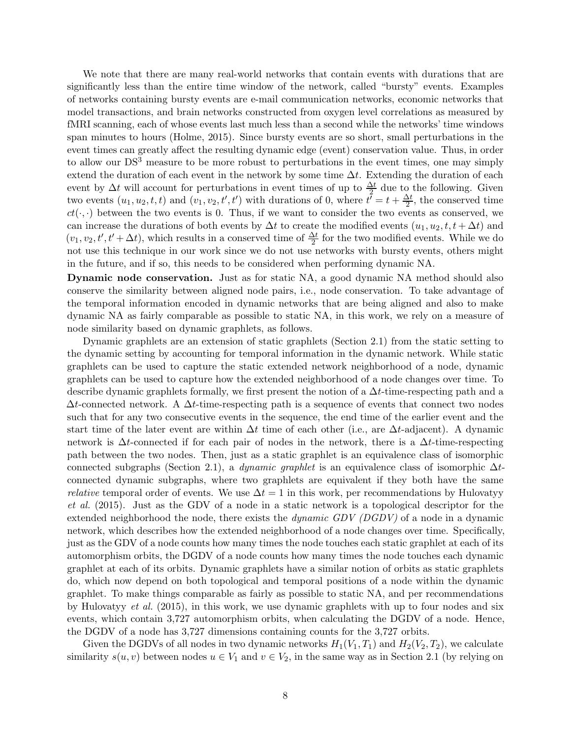We note that there are many real-world networks that contain events with durations that are significantly less than the entire time window of the network, called "bursty" events. Examples of networks containing bursty events are e-mail communication networks, economic networks that model transactions, and brain networks constructed from oxygen level correlations as measured by fMRI scanning, each of whose events last much less than a second while the networks' time windows span minutes to hours [\(Holme](#page-18-11), [2015\)](#page-18-11). Since bursty events are so short, small perturbations in the event times can greatly affect the resulting dynamic edge (event) conservation value. Thus, in order to allow our DS<sup>3</sup> measure to be more robust to perturbations in the event times, one may simply extend the duration of each event in the network by some time  $\Delta t$ . Extending the duration of each event by  $\Delta t$  will account for perturbations in event times of up to  $\frac{\Delta t}{2}$  due to the following. Given two events  $(u_1, u_2, t, t)$  and  $(v_1, v_2, t', t')$  with durations of 0, where  $t^{\overline{\ell}} = t + \frac{\Delta t}{2}$ , the conserved time  $ct(\cdot, \cdot)$  between the two events is 0. Thus, if we want to consider the two events as conserved, we can increase the durations of both events by  $\Delta t$  to create the modified events  $(u_1, u_2, t, t + \Delta t)$  and  $(v_1, v_2, t', t' + \Delta t)$ , which results in a conserved time of  $\frac{\Delta t}{2}$  for the two modified events. While we do not use this technique in our work since we do not use networks with bursty events, others might in the future, and if so, this needs to be considered when performing dynamic NA.

Dynamic node conservation. Just as for static NA, a good dynamic NA method should also conserve the similarity between aligned node pairs, i.e., node conservation. To take advantage of the temporal information encoded in dynamic networks that are being aligned and also to make dynamic NA as fairly comparable as possible to static NA, in this work, we rely on a measure of node similarity based on dynamic graphlets, as follows.

Dynamic graphlets are an extension of static graphlets (Section [2.1\)](#page-2-1) from the static setting to the dynamic setting by accounting for temporal information in the dynamic network. While static graphlets can be used to capture the static extended network neighborhood of a node, dynamic graphlets can be used to capture how the extended neighborhood of a node changes over time. To describe dynamic graphlets formally, we first present the notion of a  $\Delta t$ -time-respecting path and a  $\Delta t$ -connected network. A  $\Delta t$ -time-respecting path is a sequence of events that connect two nodes such that for any two consecutive events in the sequence, the end time of the earlier event and the start time of the later event are within  $\Delta t$  time of each other (i.e., are  $\Delta t$ -adjacent). A dynamic network is  $\Delta t$ -connected if for each pair of nodes in the network, there is a  $\Delta t$ -time-respecting path between the two nodes. Then, just as a static graphlet is an equivalence class of isomorphic connected subgraphs (Section [2.1\)](#page-2-1), a *dynamic graphlet* is an equivalence class of isomorphic  $\Delta t$ connected dynamic subgraphs, where two graphlets are equivalent if they both have the same *relative* temporal order of events. We use  $\Delta t = 1$  in this work, per recommendations by Hulovatyy et al. [\(2015](#page-18-15)). Just as the GDV of a node in a static network is a topological descriptor for the extended neighborhood the node, there exists the *dynamic GDV (DGDV)* of a node in a dynamic network, which describes how the extended neighborhood of a node changes over time. Specifically, just as the GDV of a node counts how many times the node touches each static graphlet at each of its automorphism orbits, the DGDV of a node counts how many times the node touches each dynamic graphlet at each of its orbits. Dynamic graphlets have a similar notion of orbits as static graphlets do, which now depend on both topological and temporal positions of a node within the dynamic graphlet. To make things comparable as fairly as possible to static NA, and per recommendations by [Hulovatyy](#page-18-15) et al. [\(2015\)](#page-18-15), in this work, we use dynamic graphlets with up to four nodes and six events, which contain 3,727 automorphism orbits, when calculating the DGDV of a node. Hence, the DGDV of a node has 3,727 dimensions containing counts for the 3,727 orbits.

Given the DGDVs of all nodes in two dynamic networks  $H_1(V_1, T_1)$  and  $H_2(V_2, T_2)$ , we calculate similarity  $s(u, v)$  between nodes  $u \in V_1$  and  $v \in V_2$ , in the same way as in Section [2.1](#page-2-1) (by relying on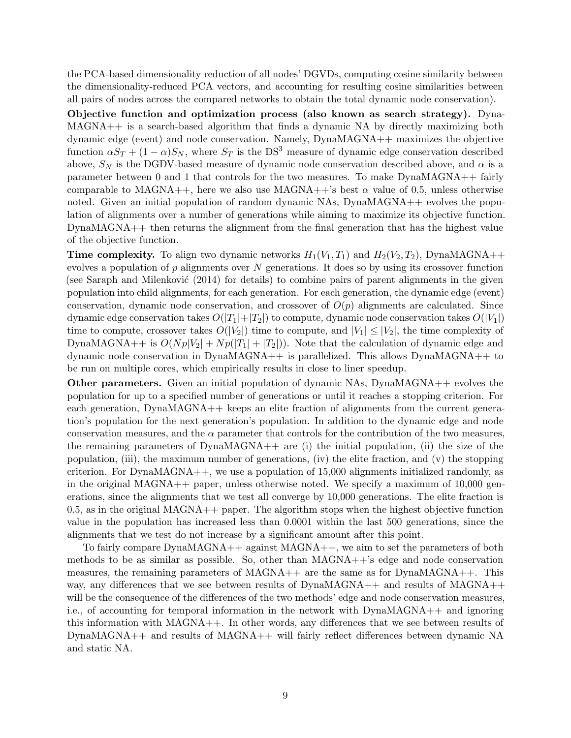the PCA-based dimensionality reduction of all nodes' DGVDs, computing cosine similarity between the dimensionality-reduced PCA vectors, and accounting for resulting cosine similarities between all pairs of nodes across the compared networks to obtain the total dynamic node conservation).

Objective function and optimization process (also known as search strategy). Dyna-MAGNA++ is a search-based algorithm that finds a dynamic NA by directly maximizing both dynamic edge (event) and node conservation. Namely, DynaMAGNA++ maximizes the objective function  $\alpha S_T + (1 - \alpha) S_N$ , where  $S_T$  is the DS<sup>3</sup> measure of dynamic edge conservation described above,  $S_N$  is the DGDV-based measure of dynamic node conservation described above, and  $\alpha$  is a parameter between 0 and 1 that controls for the two measures. To make DynaMAGNA++ fairly comparable to MAGNA++, here we also use MAGNA++'s best  $\alpha$  value of 0.5, unless otherwise noted. Given an initial population of random dynamic NAs, DynaMAGNA++ evolves the population of alignments over a number of generations while aiming to maximize its objective function. DynaMAGNA++ then returns the alignment from the final generation that has the highest value of the objective function.

**Time complexity.** To align two dynamic networks  $H_1(V_1, T_1)$  and  $H_2(V_2, T_2)$ , DynaMAGNA++ evolves a population of  $p$  alignments over  $N$  generations. It does so by using its crossover function (see Saraph and Milenković  $(2014)$  for details) to combine pairs of parent alignments in the given population into child alignments, for each generation. For each generation, the dynamic edge (event) conservation, dynamic node conservation, and crossover of  $O(p)$  alignments are calculated. Since dynamic edge conservation takes  $O(|T_1|+|T_2|)$  to compute, dynamic node conservation takes  $O(|V_1|)$ time to compute, crossover takes  $O(|V_2|)$  time to compute, and  $|V_1| \leq |V_2|$ , the time complexity of DynaMAGNA++ is  $O(Np|V_2| + Np(|T_1| + |T_2|))$ . Note that the calculation of dynamic edge and dynamic node conservation in DynaMAGNA++ is parallelized. This allows DynaMAGNA++ to be run on multiple cores, which empirically results in close to liner speedup.

Other parameters. Given an initial population of dynamic NAs, DynaMAGNA++ evolves the population for up to a specified number of generations or until it reaches a stopping criterion. For each generation,  $DynaMAGNA++$  keeps an elite fraction of alignments from the current generation's population for the next generation's population. In addition to the dynamic edge and node conservation measures, and the  $\alpha$  parameter that controls for the contribution of the two measures, the remaining parameters of DynaMAGNA++ are (i) the initial population, (ii) the size of the population, (iii), the maximum number of generations, (iv) the elite fraction, and  $(v)$  the stopping criterion. For  $DynaMAGNA++$ , we use a population of 15,000 alignments initialized randomly, as in the original MAGNA++ paper, unless otherwise noted. We specify a maximum of  $10,000$  generations, since the alignments that we test all converge by 10,000 generations. The elite fraction is 0.5, as in the original MAGNA++ paper. The algorithm stops when the highest objective function value in the population has increased less than 0.0001 within the last 500 generations, since the alignments that we test do not increase by a significant amount after this point.

To fairly compare DynaMAGNA++ against MAGNA++, we aim to set the parameters of both methods to be as similar as possible. So, other than  $MAGNA++$ 's edge and node conservation measures, the remaining parameters of  $MAGNA++$  are the same as for  $DynaMAGNA++$ . This way, any differences that we see between results of  $DynaMAGNA++$  and results of  $MAGNA++$ will be the consequence of the differences of the two methods' edge and node conservation measures, i.e., of accounting for temporal information in the network with DynaMAGNA++ and ignoring this information with MAGNA++. In other words, any differences that we see between results of DynaMAGNA++ and results of MAGNA++ will fairly reflect differences between dynamic NA and static NA.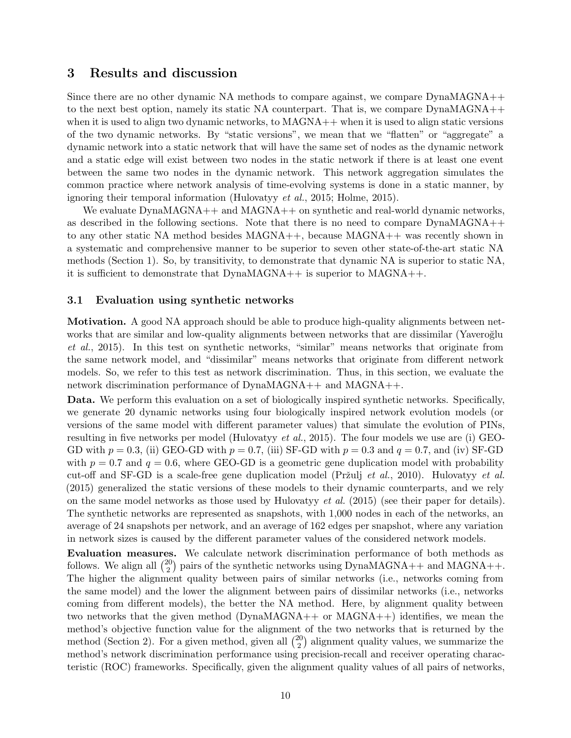## <span id="page-9-0"></span>3 Results and discussion

Since there are no other dynamic NA methods to compare against, we compare DynaMAGNA++ to the next best option, namely its static NA counterpart. That is, we compare DynaMAGNA++ when it is used to align two dynamic networks, to  $MAGNA$ ++ when it is used to align static versions of the two dynamic networks. By "static versions", we mean that we "flatten" or "aggregate" a dynamic network into a static network that will have the same set of nodes as the dynamic network and a static edge will exist between two nodes in the static network if there is at least one event between the same two nodes in the dynamic network. This network aggregation simulates the common practice where network analysis of time-evolving systems is done in a static manner, by ignoring their temporal information [\(Hulovatyy](#page-18-15) et al., [2015;](#page-18-15) [Holme](#page-18-11), [2015\)](#page-18-11).

We evaluate DynaMAGNA++ and MAGNA++ on synthetic and real-world dynamic networks, as described in the following sections. Note that there is no need to compare DynaMAGNA++ to any other static NA method besides MAGNA++, because MAGNA++ was recently shown in a systematic and comprehensive manner to be superior to seven other state-of-the-art static NA methods (Section [1\)](#page-0-0). So, by transitivity, to demonstrate that dynamic NA is superior to static NA, it is sufficient to demonstrate that DynaMAGNA++ is superior to MAGNA++.

#### <span id="page-9-1"></span>3.1 Evaluation using synthetic networks

Motivation. A good NA approach should be able to produce high-quality alignments between network[s that are similar and low-quality alignments between networks that are dissimilar \(](#page-19-12)Yaveroğlu et al., [2015\)](#page-19-12). In this test on synthetic networks, "similar" means networks that originate from the same network model, and "dissimilar" means networks that originate from different network models. So, we refer to this test as network discrimination. Thus, in this section, we evaluate the network discrimination performance of DynaMAGNA++ and MAGNA++.

Data. We perform this evaluation on a set of biologically inspired synthetic networks. Specifically, we generate 20 dynamic networks using four biologically inspired network evolution models (or versions of the same model with different parameter values) that simulate the evolution of PINs, resulting in five networks per model [\(Hulovatyy](#page-18-15) et al., [2015](#page-18-15)). The four models we use are (i) GEO-GD with  $p = 0.3$ , (ii) GEO-GD with  $p = 0.7$ , (iii) SF-GD with  $p = 0.3$  and  $q = 0.7$ , and (iv) SF-GD with  $p = 0.7$  and  $q = 0.6$ , where GEO-GD is a geometric gene duplication model with probability cut-off and SF-GD is a scale-free gene duplication model (Pržulj et al., [2010\)](#page-19-13). Hulovaty et al. [\(2015](#page-18-15)) generalized the static versions of these models to their dynamic counterparts, and we rely on the same model networks as those used by Hulovaty et al.  $(2015)$  $(2015)$  (see their paper for details). The synthetic networks are represented as snapshots, with 1,000 nodes in each of the networks, an average of 24 snapshots per network, and an average of 162 edges per snapshot, where any variation in network sizes is caused by the different parameter values of the considered network models.

Evaluation measures. We calculate network discrimination performance of both methods as follows. We align all  $\binom{20}{2}$  $_{2}^{20}$ ) pairs of the synthetic networks using DynaMAGNA++ and MAGNA++. The higher the alignment quality between pairs of similar networks (i.e., networks coming from the same model) and the lower the alignment between pairs of dissimilar networks (i.e., networks coming from different models), the better the NA method. Here, by alignment quality between two networks that the given method (DynaMAGNA++ or MAGNA++) identifies, we mean the method's objective function value for the alignment of the two networks that is returned by the method (Section [2\)](#page-2-0). For a given method, given all  $\binom{20}{2}$  $\binom{20}{2}$  alignment quality values, we summarize the method's network discrimination performance using precision-recall and receiver operating characteristic (ROC) frameworks. Specifically, given the alignment quality values of all pairs of networks,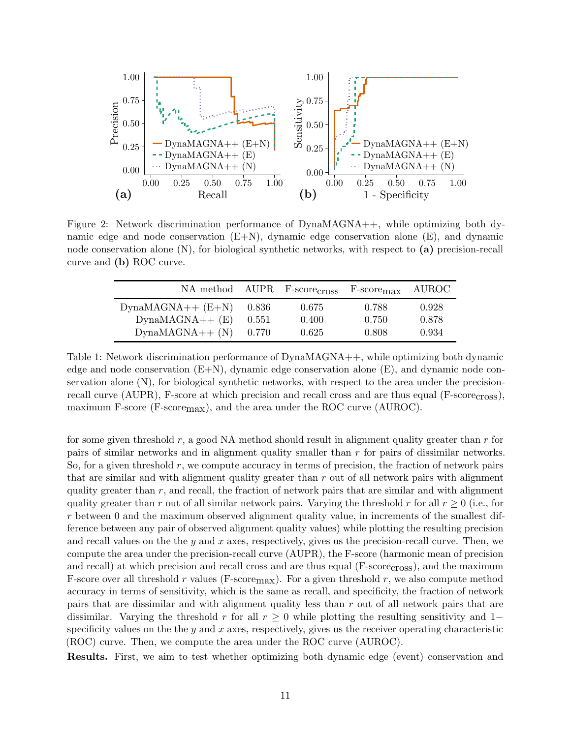<span id="page-10-1"></span>

<span id="page-10-0"></span>Figure 2: Network discrimination performance of DynaMAGNA++, while optimizing both dynamic edge and node conservation  $(E+N)$ , dynamic edge conservation alone  $(E)$ , and dynamic node conservation alone (N), for biological synthetic networks, with respect to (a) precision-recall curve and (b) ROC curve.

|                      |       | NA method AUPR F-scorecross | F-score <sub>max</sub> | <b>AUROC</b> |
|----------------------|-------|-----------------------------|------------------------|--------------|
| $DynaMAGNA++ (E+N)$  | 0.836 | 0.675                       | 0.788                  | 0.928        |
| $DynamicMAGHA++ (E)$ | 0.551 | 0.400                       | 0.750                  | 0.878        |
| $DynamicMAGNA++ (N)$ | 0.770 | 0.625                       | 0.808                  | 0.934        |

Table 1: Network discrimination performance of DynaMAGNA++, while optimizing both dynamic edge and node conservation (E+N), dynamic edge conservation alone (E), and dynamic node conservation alone (N), for biological synthetic networks, with respect to the area under the precisionrecall curve (AUPR), F-score at which precision and recall cross and are thus equal (F-scorecross), maximum F-score (F-score $_{\text{max}}$ ), and the area under the ROC curve (AUROC).

for some given threshold  $r$ , a good NA method should result in alignment quality greater than  $r$  for pairs of similar networks and in alignment quality smaller than r for pairs of dissimilar networks. So, for a given threshold  $r$ , we compute accuracy in terms of precision, the fraction of network pairs that are similar and with alignment quality greater than  $r$  out of all network pairs with alignment quality greater than  $r$ , and recall, the fraction of network pairs that are similar and with alignment quality greater than r out of all similar network pairs. Varying the threshold r for all  $r \geq 0$  (i.e., for  $r$  between 0 and the maximum observed alignment quality value, in increments of the smallest difference between any pair of observed alignment quality values) while plotting the resulting precision and recall values on the the y and x axes, respectively, gives us the precision-recall curve. Then, we compute the area under the precision-recall curve (AUPR), the F-score (harmonic mean of precision and recall) at which precision and recall cross and are thus equal (F-scorecross), and the maximum F-score over all threshold r values (F-score  $max$ ). For a given threshold r, we also compute method accuracy in terms of sensitivity, which is the same as recall, and specificity, the fraction of network pairs that are dissimilar and with alignment quality less than r out of all network pairs that are dissimilar. Varying the threshold r for all  $r \geq 0$  while plotting the resulting sensitivity and 1– specificity values on the the y and x axes, respectively, gives us the receiver operating characteristic (ROC) curve. Then, we compute the area under the ROC curve (AUROC).

Results. First, we aim to test whether optimizing both dynamic edge (event) conservation and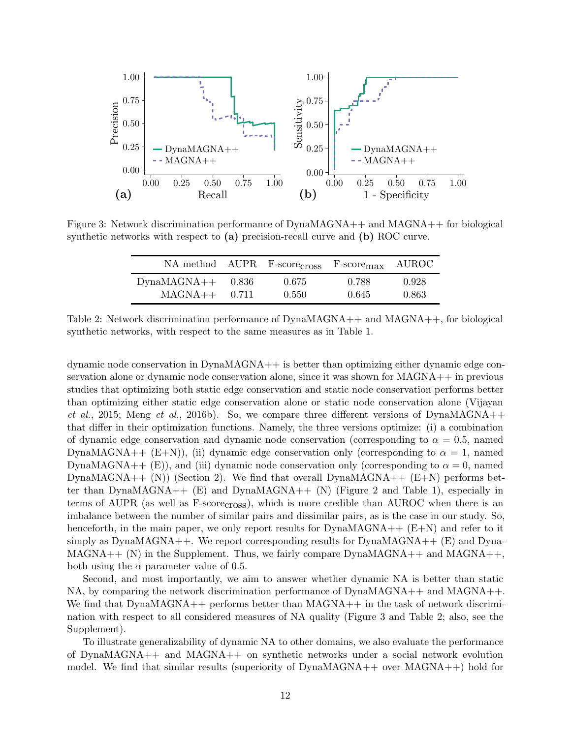<span id="page-11-0"></span>

<span id="page-11-1"></span>Figure 3: Network discrimination performance of DynaMAGNA++ and MAGNA++ for biological synthetic networks with respect to  $(a)$  precision-recall curve and  $(b)$  ROC curve.

|                     |       | NA method AUPR F-scorecross F-scoremax |       | AUROC <b>AUROC</b> |
|---------------------|-------|----------------------------------------|-------|--------------------|
| $DynaMAGNA++$ 0.836 | 0.711 | 0.675                                  | 0.788 | 0.928              |
| $MAGNA++$           |       | 0.550                                  | 0.645 | 0.863              |

Table 2: Network discrimination performance of DynaMAGNA++ and MAGNA++, for biological synthetic networks, with respect to the same measures as in Table [1.](#page-10-0)

dynamic node conservation in DynaMAGNA++ is better than optimizing either dynamic edge conservation alone or dynamic node conservation alone, since it was shown for MAGNA++ in previous studies that optimizing both static edge conservation and static node conservation performs better than [optimizing either static edge conservation alone or static node conservation alone \(](#page-19-5)Vijayan et al., [2015](#page-19-5); [Meng](#page-19-1) et al., [2016b\)](#page-19-1). So, we compare three different versions of DynaMAGNA++ that differ in their optimization functions. Namely, the three versions optimize: (i) a combination of dynamic edge conservation and dynamic node conservation (corresponding to  $\alpha = 0.5$ , named DynaMAGNA++  $(E+N)$ , (ii) dynamic edge conservation only (corresponding to  $\alpha = 1$ , named DynaMAGNA++ (E)), and (iii) dynamic node conservation only (corresponding to  $\alpha = 0$ , named DynaMAGNA++  $(N)$ ) (Section [2\)](#page-2-0). We find that overall DynaMAGNA++  $(E+N)$  performs bet-ter than DynaMAGNA++ (E) and DynaMAGNA++ (N) (Figure [2](#page-10-1) and Table [1\)](#page-10-0), especially in terms of AUPR (as well as F-scorecross), which is more credible than AUROC when there is an imbalance between the number of similar pairs and dissimilar pairs, as is the case in our study. So, henceforth, in the main paper, we only report results for  $DynaMAGNA++ (E+N)$  and refer to it simply as  $DynaMAGNA++$ . We report corresponding results for  $DynaMAGNA++$  (E) and  $Dyna$ - $MAGNA++ (N)$  in the Supplement. Thus, we fairly compare  $DynaMAGNA++$  and  $MAGNA++$ both using the  $\alpha$  parameter value of 0.5.

Second, and most importantly, we aim to answer whether dynamic NA is better than static NA, by comparing the network discrimination performance of DynaMAGNA++ and MAGNA++. We find that DynaMAGNA++ performs better than MAGNA++ in the task of network discrimination with respect to all considered measures of NA quality (Figure [3](#page-11-0) and Table [2;](#page-11-1) also, see the Supplement).

To illustrate generalizability of dynamic NA to other domains, we also evaluate the performance of DynaMAGNA++ and MAGNA++ on synthetic networks under a social network evolution model. We find that similar results (superiority of  $DynaMAGNA++$  over  $MAGNA++$ ) hold for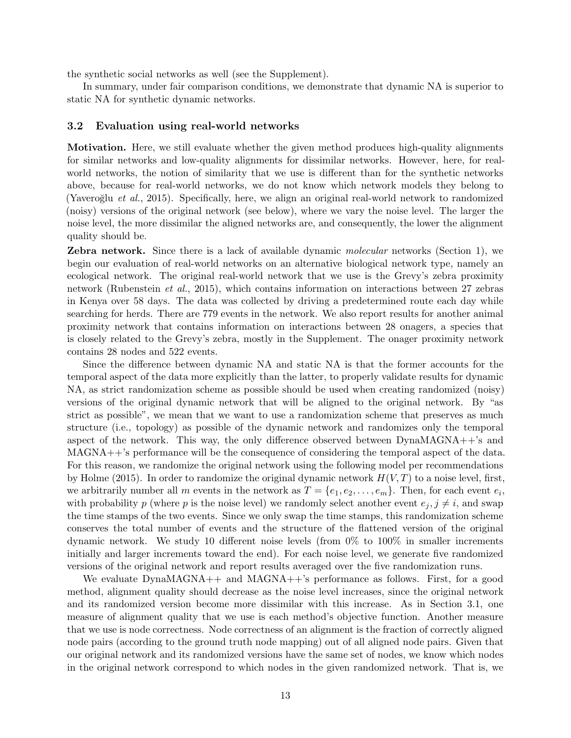the synthetic social networks as well (see the Supplement).

In summary, under fair comparison conditions, we demonstrate that dynamic NA is superior to static NA for synthetic dynamic networks.

#### 3.2 Evaluation using real-world networks

Motivation. Here, we still evaluate whether the given method produces high-quality alignments for similar networks and low-quality alignments for dissimilar networks. However, here, for realworld networks, the notion of similarity that we use is different than for the synthetic networks above, because for real-world networks, we do not know which network models they belong to (Yaveroğlu et al., [2015](#page-19-12)). Specifically, here, we align an original real-world network to randomized (noisy) versions of the original network (see below), where we vary the noise level. The larger the noise level, the more dissimilar the aligned networks are, and consequently, the lower the alignment quality should be.

**Zebra network.** Since there is a lack of available dynamic molecular networks (Section [1\)](#page-0-0), we begin our evaluation of real-world networks on an alternative biological network type, namely an ecological network. The original real-world network that we use is the Grevy's zebra proximity network [\(Rubenstein](#page-19-14) et al., [2015](#page-19-14)), which contains information on interactions between 27 zebras in Kenya over 58 days. The data was collected by driving a predetermined route each day while searching for herds. There are 779 events in the network. We also report results for another animal proximity network that contains information on interactions between 28 onagers, a species that is closely related to the Grevy's zebra, mostly in the Supplement. The onager proximity network contains 28 nodes and 522 events.

Since the difference between dynamic NA and static NA is that the former accounts for the temporal aspect of the data more explicitly than the latter, to properly validate results for dynamic NA, as strict randomization scheme as possible should be used when creating randomized (noisy) versions of the original dynamic network that will be aligned to the original network. By "as strict as possible", we mean that we want to use a randomization scheme that preserves as much structure (i.e., topology) as possible of the dynamic network and randomizes only the temporal aspect of the network. This way, the only difference observed between  $DynaMAGNA++$ 's and MAGNA++'s performance will be the consequence of considering the temporal aspect of the data. For this reason, we randomize the original network using the following model per recommendations by [Holme \(2015\)](#page-18-11). In order to randomize the original dynamic network  $H(V,T)$  to a noise level, first, we arbitrarily number all m events in the network as  $T = \{e_1, e_2, \ldots, e_m\}$ . Then, for each event  $e_i$ , with probability p (where p is the noise level) we randomly select another event  $e_i, j \neq i$ , and swap the time stamps of the two events. Since we only swap the time stamps, this randomization scheme conserves the total number of events and the structure of the flattened version of the original dynamic network. We study 10 different noise levels (from 0% to 100% in smaller increments initially and larger increments toward the end). For each noise level, we generate five randomized versions of the original network and report results averaged over the five randomization runs.

We evaluate DynaMAGNA++ and MAGNA++'s performance as follows. First, for a good method, alignment quality should decrease as the noise level increases, since the original network and its randomized version become more dissimilar with this increase. As in Section [3.1,](#page-9-1) one measure of alignment quality that we use is each method's objective function. Another measure that we use is node correctness. Node correctness of an alignment is the fraction of correctly aligned node pairs (according to the ground truth node mapping) out of all aligned node pairs. Given that our original network and its randomized versions have the same set of nodes, we know which nodes in the original network correspond to which nodes in the given randomized network. That is, we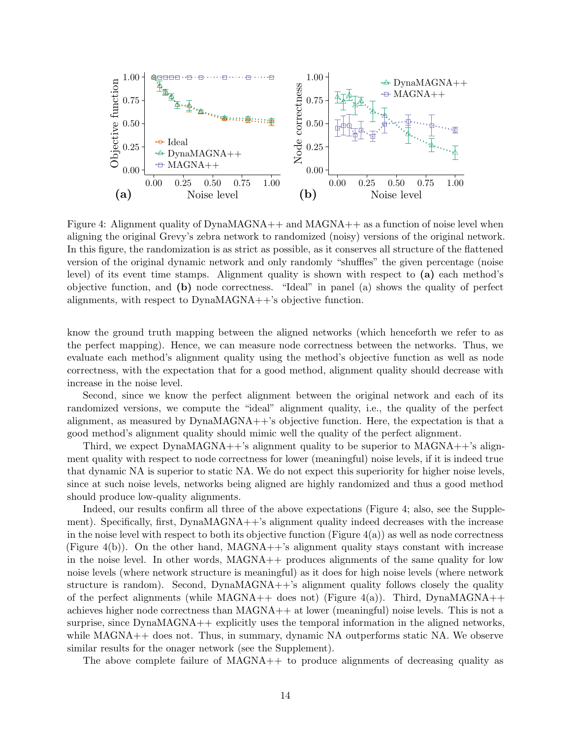<span id="page-13-0"></span>

Figure 4: Alignment quality of DynaMAGNA++ and MAGNA++ as a function of noise level when aligning the original Grevy's zebra network to randomized (noisy) versions of the original network. In this figure, the randomization is as strict as possible, as it conserves all structure of the flattened version of the original dynamic network and only randomly "shuffles" the given percentage (noise level) of its event time stamps. Alignment quality is shown with respect to (a) each method's objective function, and (b) node correctness. "Ideal" in panel (a) shows the quality of perfect alignments, with respect to DynaMAGNA++'s objective function.

know the ground truth mapping between the aligned networks (which henceforth we refer to as the perfect mapping). Hence, we can measure node correctness between the networks. Thus, we evaluate each method's alignment quality using the method's objective function as well as node correctness, with the expectation that for a good method, alignment quality should decrease with increase in the noise level.

Second, since we know the perfect alignment between the original network and each of its randomized versions, we compute the "ideal" alignment quality, i.e., the quality of the perfect alignment, as measured by DynaMAGNA++'s objective function. Here, the expectation is that a good method's alignment quality should mimic well the quality of the perfect alignment.

Third, we expect DynaMAGNA++'s alignment quality to be superior to MAGNA++'s alignment quality with respect to node correctness for lower (meaningful) noise levels, if it is indeed true that dynamic NA is superior to static NA. We do not expect this superiority for higher noise levels, since at such noise levels, networks being aligned are highly randomized and thus a good method should produce low-quality alignments.

Indeed, our results confirm all three of the above expectations (Figure [4;](#page-13-0) also, see the Supplement). Specifically, first, DynaMAGNA++'s alignment quality indeed decreases with the increase in the noise level with respect to both its objective function (Figure  $4(a)$ ) as well as node correctness (Figure [4\(](#page-13-0)b)). On the other hand, MAGNA++'s alignment quality stays constant with increase in the noise level. In other words, MAGNA++ produces alignments of the same quality for low noise levels (where network structure is meaningful) as it does for high noise levels (where network structure is random). Second,  $DynaMAGNA++$ 's alignment quality follows closely the quality of the perfect alignments (while  $MAGNA++$  does not) (Figure [4\(](#page-13-0)a)). Third, DynaMAGNA++ achieves higher node correctness than  $MAGNA++$  at lower (meaningful) noise levels. This is not a surprise, since DynaMAGNA++ explicitly uses the temporal information in the aligned networks, while MAGNA++ does not. Thus, in summary, dynamic NA outperforms static NA. We observe similar results for the onager network (see the Supplement).

The above complete failure of MAGNA++ to produce alignments of decreasing quality as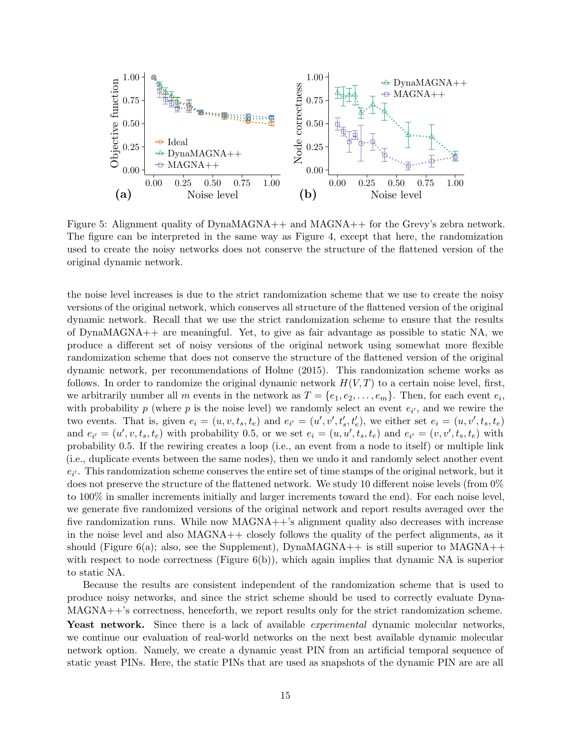

Figure 5: Alignment quality of DynaMAGNA++ and MAGNA++ for the Grevy's zebra network. The figure can be interpreted in the same way as Figure [4,](#page-13-0) except that here, the randomization used to create the noisy networks does not conserve the structure of the flattened version of the original dynamic network.

the noise level increases is due to the strict randomization scheme that we use to create the noisy versions of the original network, which conserves all structure of the flattened version of the original dynamic network. Recall that we use the strict randomization scheme to ensure that the results of DynaMAGNA++ are meaningful. Yet, to give as fair advantage as possible to static NA, we produce a different set of noisy versions of the original network using somewhat more flexible randomization scheme that does not conserve the structure of the flattened version of the original dynamic network, per recommendations of [Holme \(2015](#page-18-11)). This randomization scheme works as follows. In order to randomize the original dynamic network  $H(V,T)$  to a certain noise level, first, we arbitrarily number all m events in the network as  $T = \{e_1, e_2, \ldots, e_m\}$ . Then, for each event  $e_i$ , with probability p (where p is the noise level) we randomly select an event  $e_{i'}$ , and we rewire the two events. That is, given  $e_i = (u, v, t_s, t_e)$  and  $e_{i'} = (u', v', t'_s, t'_e)$ , we either set  $e_i = (u, v', t_s, t_e)$ and  $e_{i'} = (u', v, t_s, t_e)$  with probability 0.5, or we set  $e_i = (u, u', t_s, t_e)$  and  $e_{i'} = (v, v', t_s, t_e)$  with probability 0.5. If the rewiring creates a loop (i.e., an event from a node to itself) or multiple link (i.e., duplicate events between the same nodes), then we undo it and randomly select another event  $e_{i'}$ . This randomization scheme conserves the entire set of time stamps of the original network, but it does not preserve the structure of the flattened network. We study 10 different noise levels (from 0% to 100% in smaller increments initially and larger increments toward the end). For each noise level, we generate five randomized versions of the original network and report results averaged over the five randomization runs. While now MAGNA++'s alignment quality also decreases with increase in the noise level and also  $MAGNA$ ++ closely follows the quality of the perfect alignments, as it should (Figure [6\(](#page-15-0)a); also, see the Supplement), DynaMAGNA++ is still superior to MAGNA++ with respect to node correctness (Figure  $6(b)$ ), which again implies that dynamic NA is superior to static NA.

Because the results are consistent independent of the randomization scheme that is used to produce noisy networks, and since the strict scheme should be used to correctly evaluate Dyna-MAGNA++'s correctness, henceforth, we report results only for the strict randomization scheme. Yeast network. Since there is a lack of available *experimental* dynamic molecular networks, we continue our evaluation of real-world networks on the next best available dynamic molecular network option. Namely, we create a dynamic yeast PIN from an artificial temporal sequence of static yeast PINs. Here, the static PINs that are used as snapshots of the dynamic PIN are are all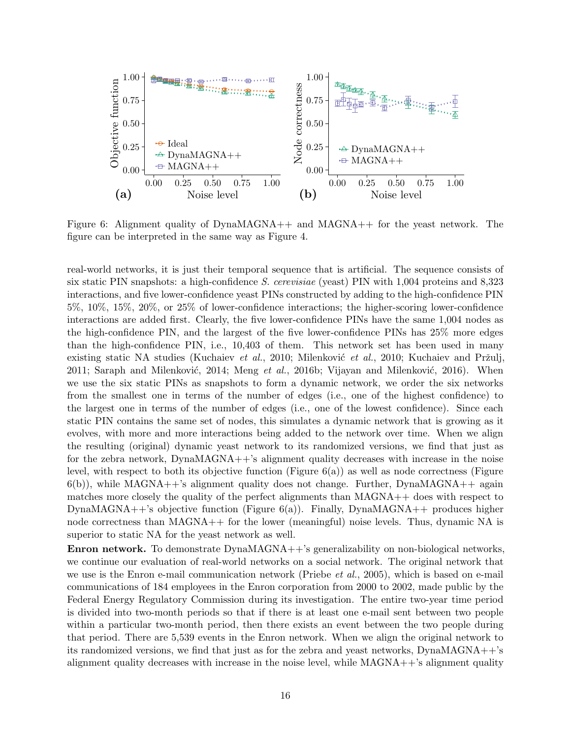<span id="page-15-0"></span>

Figure 6: Alignment quality of DynaMAGNA++ and MAGNA++ for the yeast network. The figure can be interpreted in the same way as Figure [4.](#page-13-0)

real-world networks, it is just their temporal sequence that is artificial. The sequence consists of six static PIN snapshots: a high-confidence S. cerevisiae (yeast) PIN with 1,004 proteins and 8,323 interactions, and five lower-confidence yeast PINs constructed by adding to the high-confidence PIN 5%, 10%, 15%, 20%, or 25% of lower-confidence interactions; the higher-scoring lower-confidence interactions are added first. Clearly, the five lower-confidence PINs have the same 1,004 nodes as the high-confidence PIN, and the largest of the five lower-confidence PINs has 25% more edges than the high-confidence PIN, i.e., 10,403 of them. This network set has been used in many existing static NA studies [\(Kuchaiev](#page-18-8) et al., [2010](#page-19-15); Milenković et al., 2010; Kuchaiev and Pržulj, [2011](#page-18-9); Saraph and Milenković, 2014; [Meng](#page-19-1) et al., [2016b](#page-19-1); Vijayan and Milenković, 2016). When we use the six static PINs as snapshots to form a dynamic network, we order the six networks from the smallest one in terms of the number of edges (i.e., one of the highest confidence) to the largest one in terms of the number of edges (i.e., one of the lowest confidence). Since each static PIN contains the same set of nodes, this simulates a dynamic network that is growing as it evolves, with more and more interactions being added to the network over time. When we align the resulting (original) dynamic yeast network to its randomized versions, we find that just as for the zebra network, DynaMAGNA++'s alignment quality decreases with increase in the noise level, with respect to both its objective function (Figure [6\(](#page-15-0)a)) as well as node correctness (Figure  $6(b)$  $6(b)$ , while MAGNA++'s alignment quality does not change. Further, DynaMAGNA++ again matches more closely the quality of the perfect alignments than MAGNA++ does with respect to DynaMAGNA++'s objective function (Figure  $6(a)$ ). Finally, DynaMAGNA++ produces higher node correctness than MAGNA++ for the lower (meaningful) noise levels. Thus, dynamic NA is superior to static NA for the yeast network as well.

Enron network. To demonstrate DynaMAGNA++'s generalizability on non-biological networks, we continue our evaluation of real-world networks on a social network. The original network that we use is the Enron e-mail communication network [\(Priebe](#page-19-16) *et al.*, [2005\)](#page-19-16), which is based on e-mail communications of 184 employees in the Enron corporation from 2000 to 2002, made public by the Federal Energy Regulatory Commission during its investigation. The entire two-year time period is divided into two-month periods so that if there is at least one e-mail sent between two people within a particular two-month period, then there exists an event between the two people during that period. There are 5,539 events in the Enron network. When we align the original network to its randomized versions, we find that just as for the zebra and yeast networks, DynaMAGNA++'s alignment quality decreases with increase in the noise level, while  $MAGNA++$ 's alignment quality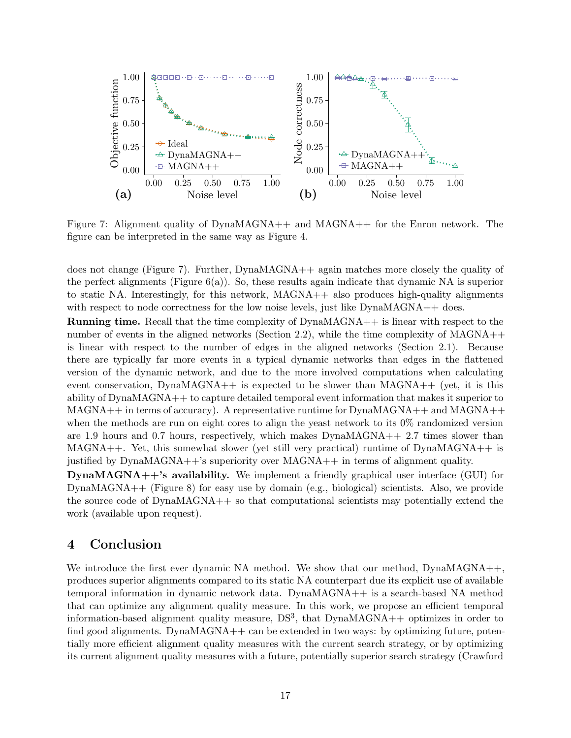<span id="page-16-0"></span>

Figure 7: Alignment quality of DynaMAGNA++ and MAGNA++ for the Enron network. The figure can be interpreted in the same way as Figure [4.](#page-13-0)

does not change (Figure [7\)](#page-16-0). Further, DynaMAGNA++ again matches more closely the quality of the perfect alignments (Figure  $6(a)$ ). So, these results again indicate that dynamic NA is superior to static NA. Interestingly, for this network, MAGNA++ also produces high-quality alignments with respect to node correctness for the low noise levels, just like  $DynaMAGNA++$  does.

Running time. Recall that the time complexity of DynaMAGNA++ is linear with respect to the number of events in the aligned networks (Section [2.2\)](#page-5-0), while the time complexity of  $MAGNA$ ++ is linear with respect to the number of edges in the aligned networks (Section [2.1\)](#page-2-1). Because there are typically far more events in a typical dynamic networks than edges in the flattened version of the dynamic network, and due to the more involved computations when calculating event conservation, DynaMAGNA++ is expected to be slower than  $MAGNA++$  (yet, it is this ability of DynaMAGNA++ to capture detailed temporal event information that makes it superior to  $MAGNA++$  in terms of accuracy). A representative runtime for  $DynaMAGNA++$  and  $MAGNA++$ when the methods are run on eight cores to align the yeast network to its  $0\%$  randomized version are 1.9 hours and 0.7 hours, respectively, which makes DynaMAGNA++ 2.7 times slower than MAGNA++. Yet, this somewhat slower (yet still very practical) runtime of DynaMAGNA++ is justified by DynaMAGNA++'s superiority over MAGNA++ in terms of alignment quality.

DynaMAGNA++'s availability. We implement a friendly graphical user interface (GUI) for DynaMAGNA++ (Figure [8\)](#page-17-0) for easy use by domain (e.g., biological) scientists. Also, we provide the source code of DynaMAGNA++ so that computational scientists may potentially extend the work (available upon request).

# 4 Conclusion

We introduce the first ever dynamic NA method. We show that our method,  $DynaMAGNA++$ , produces superior alignments compared to its static NA counterpart due its explicit use of available temporal information in dynamic network data. DynaMAGNA++ is a search-based NA method that can optimize any alignment quality measure. In this work, we propose an efficient temporal information-based alignment quality measure,  $DS<sup>3</sup>$ , that  $DynaMAGNA++$  optimizes in order to find good alignments. DynaMAGNA $++$  can be extended in two ways: by optimizing future, potentially more efficient alignment quality measures with the current search strategy, or by optimizing its current alignment quality measures with a future, potentially superior search strategy (Crawford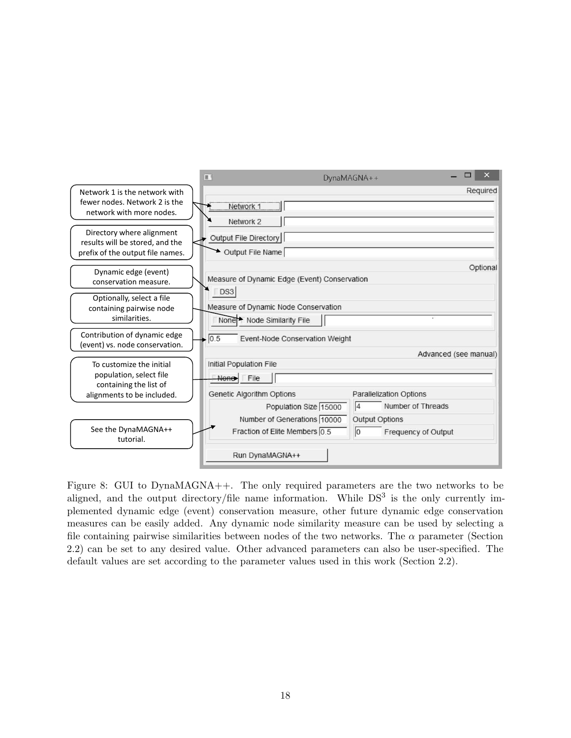<span id="page-17-0"></span>

|                                                                                                  | ΠI                                                                          | DynaMAGNA++                                      |  |  |  |  |
|--------------------------------------------------------------------------------------------------|-----------------------------------------------------------------------------|--------------------------------------------------|--|--|--|--|
| Network 1 is the network with<br>fewer nodes. Network 2 is the<br>network with more nodes.       | Network 1<br>Network 2                                                      | Required                                         |  |  |  |  |
| Directory where alignment<br>results will be stored, and the<br>prefix of the output file names. | Output File Directory<br>Output File Name                                   |                                                  |  |  |  |  |
| Dynamic edge (event)<br>conservation measure.                                                    | Measure of Dynamic Edge (Event) Conservation<br>DS3                         | Optional                                         |  |  |  |  |
| Optionally, select a file<br>containing pairwise node<br>similarities.                           | Measure of Dynamic Node Conservation<br>None Node Similarity File           |                                                  |  |  |  |  |
| Contribution of dynamic edge<br>(event) vs. node conservation.                                   | 0.5<br>Event-Node Conservation Weight                                       | Advanced (see manual)                            |  |  |  |  |
| To customize the initial<br>population, select file<br>containing the list of                    | Initial Population File<br>None<br>File<br><b>Genetic Algorithm Options</b> | <b>Parallelization Options</b>                   |  |  |  |  |
| alignments to be included.                                                                       | Population Size 15000<br>Number of Generations 10000                        | Number of Threads<br> 4<br><b>Output Options</b> |  |  |  |  |
| See the DynaMAGNA++<br>tutorial.                                                                 | Fraction of Elite Members 0.5<br>Run DynaMAGNA++                            | $ 0\rangle$<br>Frequency of Output               |  |  |  |  |
|                                                                                                  |                                                                             |                                                  |  |  |  |  |

Figure 8: GUI to DynaMAGNA++. The only required parameters are the two networks to be aligned, and the output directory/file name information. While  $DS<sup>3</sup>$  is the only currently implemented dynamic edge (event) conservation measure, other future dynamic edge conservation measures can be easily added. Any dynamic node similarity measure can be used by selecting a file containing pairwise similarities between nodes of the two networks. The  $\alpha$  parameter (Section [2.2\)](#page-5-0) can be set to any desired value. Other advanced parameters can also be user-specified. The default values are set according to the parameter values used in this work (Section [2.2\)](#page-5-0).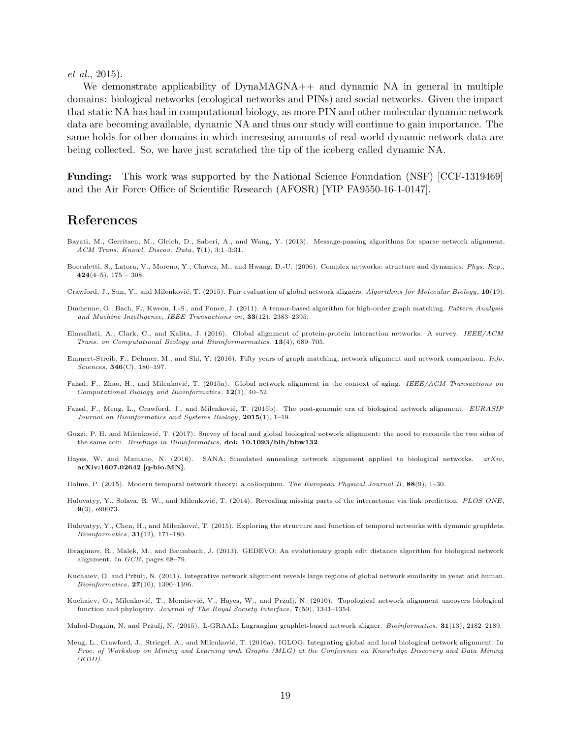et al., [2015\)](#page-18-17).

We demonstrate applicability of DynaMAGNA++ and dynamic NA in general in multiple domains: biological networks (ecological networks and PINs) and social networks. Given the impact that static NA has had in computational biology, as more PIN and other molecular dynamic network data are becoming available, dynamic NA and thus our study will continue to gain importance. The same holds for other domains in which increasing amounts of real-world dynamic network data are being collected. So, we have just scratched the tip of the iceberg called dynamic NA.

Funding: This work was supported by the National Science Foundation (NSF) [CCF-1319469] and the Air Force Office of Scientific Research (AFOSR) [YIP FA9550-16-1-0147].

### References

- <span id="page-18-3"></span>Bayati, M., Gerritsen, M., Gleich, D., Saberi, A., and Wang, Y. (2013). Message-passing algorithms for sparse network alignment. ACM Trans. Knowl. Discov. Data, 7(1), 3:1–3:31.
- <span id="page-18-0"></span>Boccaletti, S., Latora, V., Moreno, Y., Chavez, M., and Hwang, D.-U. (2006). Complex networks: structure and dynamics. Phys. Rep.,  $424(4-5)$ ,  $175 - 308$ .
- <span id="page-18-17"></span>Crawford, J., Sun, Y., and Milenković, T. (2015). Fair evaluation of global network aligners. Algorithms for Molecular Biology, 10(19).
- <span id="page-18-2"></span>Duchenne, O., Bach, F., Kweon, I.-S., and Ponce, J. (2011). A tensor-based algorithm for high-order graph matching. Pattern Analysis and Machine Intelligence, IEEE Transactions on, 33(12), 2383–2395.
- <span id="page-18-6"></span>Elmsallati, A., Clark, C., and Kalita, J. (2016). Global alignment of protein-protein interaction networks: A survey. IEEE/ACM Trans. on Computational Biology and Bioinformormatics, 13(4), 689–705.
- <span id="page-18-1"></span>Emmert-Streib, F., Dehmer, M., and Shi, Y. (2016). Fifty years of graph matching, network alignment and network comparison. Info. Sciences, 346(C), 180–197.
- <span id="page-18-4"></span>Faisal, F., Zhao, H., and Milenković, T. (2015a). Global network alignment in the context of aging. IEEE/ACM Transactions on Computational Biology and Bioinformatics, 12(1), 40–52.
- <span id="page-18-5"></span>Faisal, F., Meng, L., Crawford, J., and Milenković, T. (2015b). The post-genomic era of biological network alignment. EURASIP Journal on Bioinformatics and Systems Biology, 2015(1), 1–19.
- <span id="page-18-7"></span>Guzzi, P. H. and Milenković, T. (2017). Survey of local and global biological network alignment: the need to reconcile the two sides of the same coin. Briefings in Bioinformatics, doi: 10.1093/bib/bbw132.
- <span id="page-18-14"></span>Hayes, W. and Mamano, N. (2016). SANA: Simulated annealing network alignment applied to biological networks.  $arXiv$ , arXiv:1607.02642 [q-bio.MN].
- <span id="page-18-11"></span>Holme, P. (2015). Modern temporal network theory: a colloquium. The European Physical Journal B, 88(9), 1–30.
- <span id="page-18-16"></span>Hulovatyy, Y., Solava, R. W., and Milenković, T. (2014). Revealing missing parts of the interactome via link prediction. PLOS ONE, 9(3), e90073.
- <span id="page-18-15"></span>Hulovatyy, Y., Chen, H., and Milenković, T. (2015). Exploring the structure and function of temporal networks with dynamic graphlets. Bioinformatics, 31(12), 171–180.
- <span id="page-18-12"></span>Ibragimov, R., Malek, M., and Baumbach, J. (2013). GEDEVO: An evolutionary graph edit distance algorithm for biological network alignment. In GCB, pages 68–79.
- <span id="page-18-9"></span>Kuchaiev, O. and Pržulj, N. (2011). Integrative network alignment reveals large regions of global network similarity in yeast and human.  $Bioinformatics, 27(10), 1390-1396.$
- <span id="page-18-8"></span>Kuchaiev, O., Milenković, T., Memišević, V., Hayes, W., and Pržulj, N. (2010). Topological network alignment uncovers biological function and phylogeny. Journal of The Royal Society Interface, 7(50), 1341–1354.

<span id="page-18-13"></span>Malod-Dognin, N. and Pržulj, N. (2015). L-GRAAL: Lagrangian graphlet-based network aligner. Bioinformatics,  $31(13)$ , 2182-2189.

<span id="page-18-10"></span>Meng, L., Crawford, J., Striegel, A., and Milenković, T. (2016a). IGLOO: Integrating global and local biological network alignment. In Proc. of Workshop on Mining and Learning with Graphs (MLG) at the Conference on Knowledge Discovery and Data Mining  $(KDD)$ .